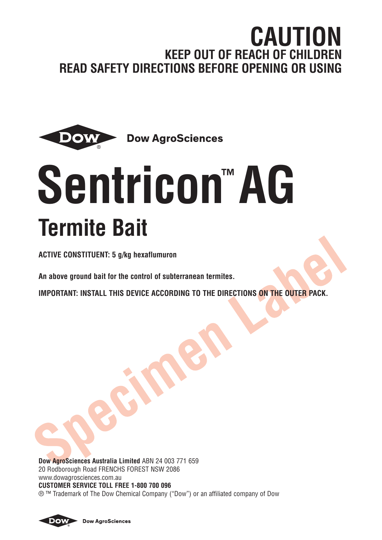# **CAUTION KEEP OUT OF REACH OF CHILDREN READ SAFETY DIRECTIONS BEFORE OPENING OR USING**



# **Sentricon™ AG Termite Bait**

**ACTIVE CONSTITUENT: 5 g/kg hexaflumuron**

**An above ground bait for the control of subterranean termites.**

**IMPORTANT: INSTALL THIS DEVICE ACCORDING TO THE DIRECTIONS ON THE OUTER PACK.**

**Dow AgroSciences Australia Limited** ABN 24 003 771 659 20 Rodborough Road FRENCHS FOREST NSW 2086 www.dowagrosciences.com.au **CUSTOMER SERVICE TOLL FREE 1-800 700 096** ® ™ Trademark of The Dow Chemical Company ("Dow") or an affiliated company of Dow



**Dow AgroSciences**